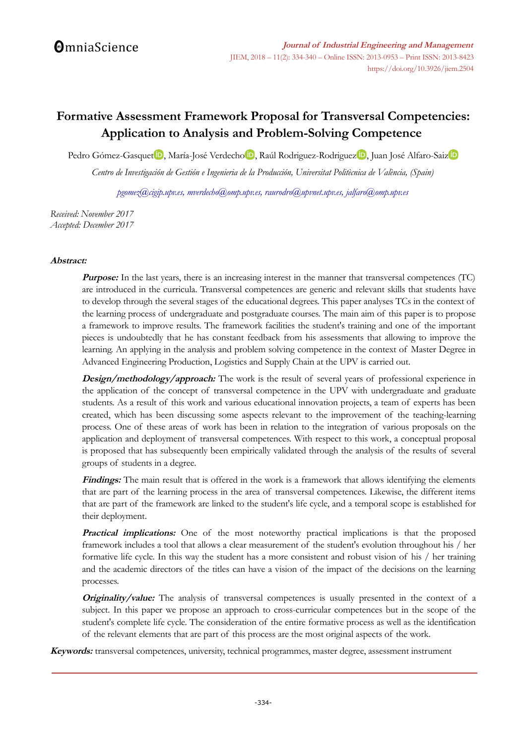# **Formative Assessment Framework Proposal for Transversal Competencies: Application to Analysis and Problem-Solving Competence**

Pedro Gómez-Gasque[t](http://orcid.org/0000-0002-9184-6735)<sup>D</sup>, María-J[o](http://orcid.org/0000-0002-1510-3956)sé Verdecho<sup>D</sup>[,](http://orcid.org/0000-0001-5133-7023) Raúl Rodrigue[z](http://orcid.org/0000-0003-2587-6853)-Rodriguez<sup>D</sup>, Juan José Alfaro-SaizD

*Centro de Investigación de Gestión e Ingenieria de la Producción, Universitat Politècnica de València, (Spain)*

*[pgomez@cigip.upv.es,](mailto:pgomez@cigip.upv.es) [mverdecho@omp.upv.es,](mailto:mverdecho@omp.upv.es) [raurodro@upvnet.upv.es,](mailto:raurodro@upvnet.upv.es) [jalfaro@omp.upv.es](mailto:jalfaro@omp.upv.es)*

*Received: November 2017 Accepted: December 2017*

#### **Abstract:**

**Purpose:** In the last years, there is an increasing interest in the manner that transversal competences (TC) are introduced in the curricula. Transversal competences are generic and relevant skills that students have to develop through the several stages of the educational degrees. This paper analyses TCs in the context of the learning process of undergraduate and postgraduate courses. The main aim of this paper is to propose a framework to improve results. The framework facilities the student's training and one of the important pieces is undoubtedly that he has constant feedback from his assessments that allowing to improve the learning. An applying in the analysis and problem solving competence in the context of Master Degree in Advanced Engineering Production, Logistics and Supply Chain at the UPV is carried out.

**Design/methodology/approach:** The work is the result of several years of professional experience in the application of the concept of transversal competence in the UPV with undergraduate and graduate students. As a result of this work and various educational innovation projects, a team of experts has been created, which has been discussing some aspects relevant to the improvement of the teaching-learning process. One of these areas of work has been in relation to the integration of various proposals on the application and deployment of transversal competences. With respect to this work, a conceptual proposal is proposed that has subsequently been empirically validated through the analysis of the results of several groups of students in a degree.

**Findings:** The main result that is offered in the work is a framework that allows identifying the elements that are part of the learning process in the area of transversal competences. Likewise, the different items that are part of the framework are linked to the student's life cycle, and a temporal scope is established for their deployment.

**Practical implications:** One of the most noteworthy practical implications is that the proposed framework includes a tool that allows a clear measurement of the student's evolution throughout his / her formative life cycle. In this way the student has a more consistent and robust vision of his / her training and the academic directors of the titles can have a vision of the impact of the decisions on the learning processes.

**Originality/value:** The analysis of transversal competences is usually presented in the context of a subject. In this paper we propose an approach to cross-curricular competences but in the scope of the student's complete life cycle. The consideration of the entire formative process as well as the identification of the relevant elements that are part of this process are the most original aspects of the work.

**Keywords:** transversal competences, university, technical programmes, master degree, assessment instrument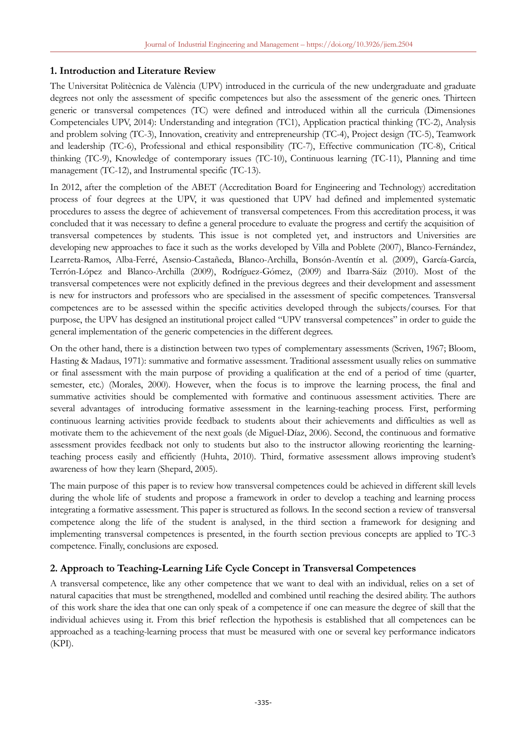## **1. Introduction and Literature Review**

The Universitat Politècnica de València (UPV) introduced in the curricula of the new undergraduate and graduate degrees not only the assessment of specific competences but also the assessment of the generic ones. Thirteen generic or transversal competences (TC) were defined and introduced within all the curricula (Dimensiones Competenciales UPV, 2014): Understanding and integration (TC1), Application practical thinking (TC-2), Analysis and problem solving (TC-3), Innovation, creativity and entrepreneurship (TC-4), Project design (TC-5), Teamwork and leadership (TC-6), Professional and ethical responsibility (TC-7), Effective communication (TC-8), Critical thinking (TC-9), Knowledge of contemporary issues (TC-10), Continuous learning (TC-11), Planning and time management (TC-12), and Instrumental specific (TC-13).

In 2012, after the completion of the ABET (Accreditation Board for Engineering and Technology) accreditation process of four degrees at the UPV, it was questioned that UPV had defined and implemented systematic procedures to assess the degree of achievement of transversal competences. From this accreditation process, it was concluded that it was necessary to define a general procedure to evaluate the progress and certify the acquisition of transversal competences by students. This issue is not completed yet, and instructors and Universities are developing new approaches to face it such as the works developed by Villa and Poblete (2007), Blanco-Fernández, Learreta-Ramos, Alba-Ferré, Asensio-Castañeda, Blanco-Archilla, Bonsón-Aventín et al. (2009), García-García, Terrón-López and Blanco-Archilla (2009), Rodríguez-Gómez, (2009) and Ibarra-Sáiz (2010). Most of the transversal competences were not explicitly defined in the previous degrees and their development and assessment is new for instructors and professors who are specialised in the assessment of specific competences. Transversal competences are to be assessed within the specific activities developed through the subjects/courses. For that purpose, the UPV has designed an institutional project called "UPV transversal competences" in order to guide the general implementation of the generic competencies in the different degrees.

On the other hand, there is a distinction between two types of complementary assessments (Scriven, 1967; Bloom, Hasting & Madaus, 1971): summative and formative assessment. Traditional assessment usually relies on summative or final assessment with the main purpose of providing a qualification at the end of a period of time (quarter, semester, etc.) (Morales, 2000). However, when the focus is to improve the learning process, the final and summative activities should be complemented with formative and continuous assessment activities. There are several advantages of introducing formative assessment in the learning-teaching process. First, performing continuous learning activities provide feedback to students about their achievements and difficulties as well as motivate them to the achievement of the next goals (de Miguel-Díaz, 2006). Second, the continuous and formative assessment provides feedback not only to students but also to the instructor allowing reorienting the learningteaching process easily and efficiently (Huhta, 2010). Third, formative assessment allows improving student's awareness of how they learn (Shepard, 2005).

The main purpose of this paper is to review how transversal competences could be achieved in different skill levels during the whole life of students and propose a framework in order to develop a teaching and learning process integrating a formative assessment. This paper is structured as follows. In the second section a review of transversal competence along the life of the student is analysed, in the third section a framework for designing and implementing transversal competences is presented, in the fourth section previous concepts are applied to TC-3 competence. Finally, conclusions are exposed.

# **2. Approach to Teaching-Learning Life Cycle Concept in Transversal Competences**

A transversal competence, like any other competence that we want to deal with an individual, relies on a set of natural capacities that must be strengthened, modelled and combined until reaching the desired ability. The authors of this work share the idea that one can only speak of a competence if one can measure the degree of skill that the individual achieves using it. From this brief reflection the hypothesis is established that all competences can be approached as a teaching-learning process that must be measured with one or several key performance indicators (KPI).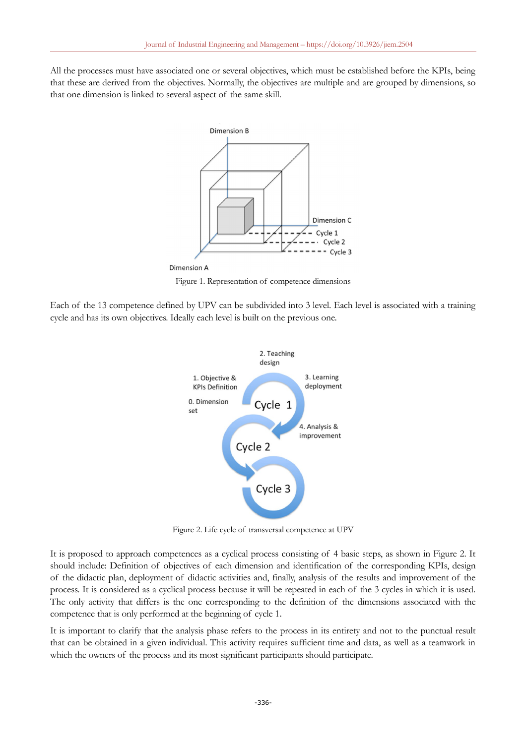All the processes must have associated one or several objectives, which must be established before the KPIs, being that these are derived from the objectives. Normally, the objectives are multiple and are grouped by dimensions, so that one dimension is linked to several aspect of the same skill.



Figure 1. Representation of competence dimensions

Each of the 13 competence defined by UPV can be subdivided into 3 level. Each level is associated with a training cycle and has its own objectives. Ideally each level is built on the previous one.



Figure 2. Life cycle of transversal competence at UPV

It is proposed to approach competences as a cyclical process consisting of 4 basic steps, as shown in Figure 2. It should include: Definition of objectives of each dimension and identification of the corresponding KPIs, design of the didactic plan, deployment of didactic activities and, finally, analysis of the results and improvement of the process. It is considered as a cyclical process because it will be repeated in each of the 3 cycles in which it is used. The only activity that differs is the one corresponding to the definition of the dimensions associated with the competence that is only performed at the beginning of cycle 1.

It is important to clarify that the analysis phase refers to the process in its entirety and not to the punctual result that can be obtained in a given individual. This activity requires sufficient time and data, as well as a teamwork in which the owners of the process and its most significant participants should participate.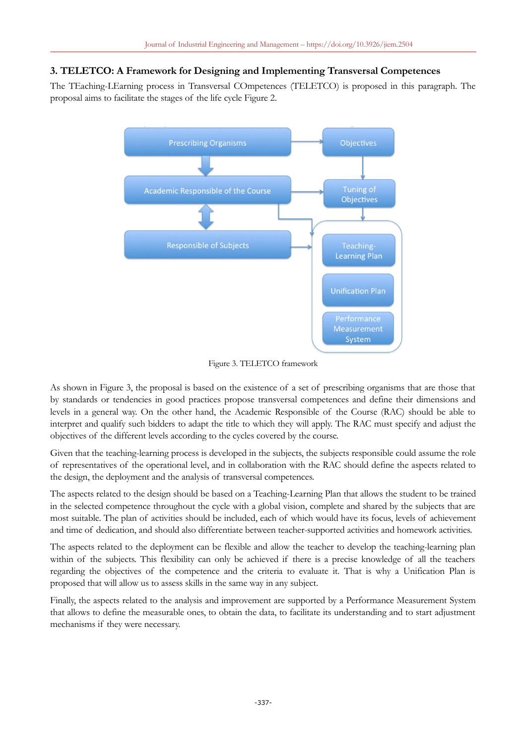# **3. TELETCO: A Framework for Designing and Implementing Transversal Competences**

The TEaching-LEarning process in Transversal COmpetences (TELETCO) is proposed in this paragraph. The proposal aims to facilitate the stages of the life cycle Figure 2.



Figure 3. TELETCO framework

As shown in Figure 3, the proposal is based on the existence of a set of prescribing organisms that are those that by standards or tendencies in good practices propose transversal competences and define their dimensions and levels in a general way. On the other hand, the Academic Responsible of the Course (RAC) should be able to interpret and qualify such bidders to adapt the title to which they will apply. The RAC must specify and adjust the objectives of the different levels according to the cycles covered by the course.

Given that the teaching-learning process is developed in the subjects, the subjects responsible could assume the role of representatives of the operational level, and in collaboration with the RAC should define the aspects related to the design, the deployment and the analysis of transversal competences.

The aspects related to the design should be based on a Teaching-Learning Plan that allows the student to be trained in the selected competence throughout the cycle with a global vision, complete and shared by the subjects that are most suitable. The plan of activities should be included, each of which would have its focus, levels of achievement and time of dedication, and should also differentiate between teacher-supported activities and homework activities.

The aspects related to the deployment can be flexible and allow the teacher to develop the teaching-learning plan within of the subjects. This flexibility can only be achieved if there is a precise knowledge of all the teachers regarding the objectives of the competence and the criteria to evaluate it. That is why a Unification Plan is proposed that will allow us to assess skills in the same way in any subject.

Finally, the aspects related to the analysis and improvement are supported by a Performance Measurement System that allows to define the measurable ones, to obtain the data, to facilitate its understanding and to start adjustment mechanisms if they were necessary.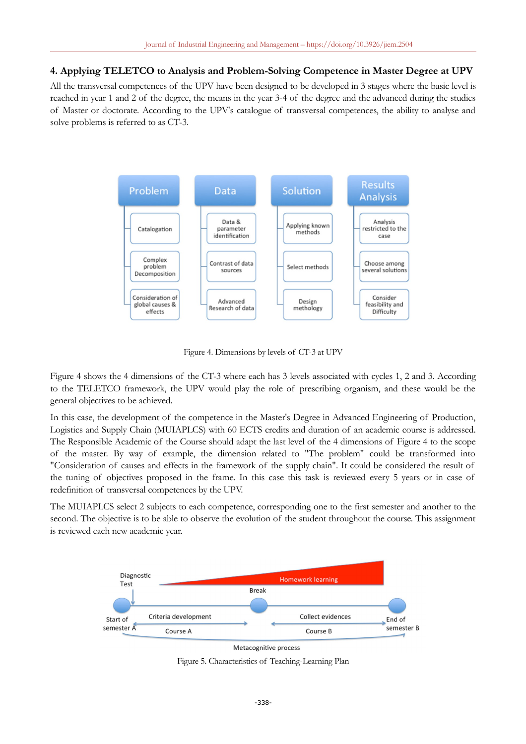#### **4. Applying TELETCO to Analysis and Problem-Solving Competence in Master Degree at UPV**

All the transversal competences of the UPV have been designed to be developed in 3 stages where the basic level is reached in year 1 and 2 of the degree, the means in the year 3-4 of the degree and the advanced during the studies of Master or doctorate. According to the UPV's catalogue of transversal competences, the ability to analyse and solve problems is referred to as CT-3.



Figure 4. Dimensions by levels of CT-3 at UPV

Figure 4 shows the 4 dimensions of the CT-3 where each has 3 levels associated with cycles 1, 2 and 3. According to the TELETCO framework, the UPV would play the role of prescribing organism, and these would be the general objectives to be achieved.

In this case, the development of the competence in the Master's Degree in Advanced Engineering of Production, Logistics and Supply Chain (MUIAPLCS) with 60 ECTS credits and duration of an academic course is addressed. The Responsible Academic of the Course should adapt the last level of the 4 dimensions of Figure 4 to the scope of the master. By way of example, the dimension related to "The problem" could be transformed into "Consideration of causes and effects in the framework of the supply chain". It could be considered the result of the tuning of objectives proposed in the frame. In this case this task is reviewed every 5 years or in case of redefinition of transversal competences by the UPV.

The MUIAPLCS select 2 subjects to each competence, corresponding one to the first semester and another to the second. The objective is to be able to observe the evolution of the student throughout the course. This assignment is reviewed each new academic year.



Metacognitive process

Figure 5. Characteristics of Teaching-Learning Plan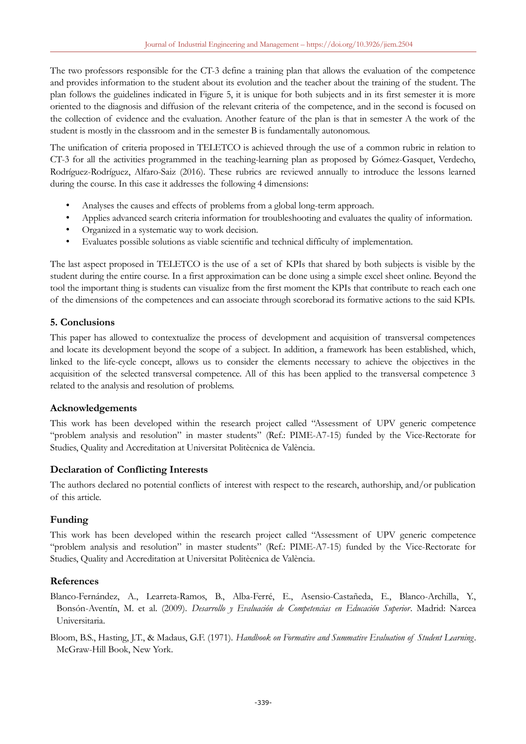The two professors responsible for the CT-3 define a training plan that allows the evaluation of the competence and provides information to the student about its evolution and the teacher about the training of the student. The plan follows the guidelines indicated in Figure 5, it is unique for both subjects and in its first semester it is more oriented to the diagnosis and diffusion of the relevant criteria of the competence, and in the second is focused on the collection of evidence and the evaluation. Another feature of the plan is that in semester A the work of the student is mostly in the classroom and in the semester B is fundamentally autonomous.

The unification of criteria proposed in TELETCO is achieved through the use of a common rubric in relation to CT-3 for all the activities programmed in the teaching-learning plan as proposed by Gómez-Gasquet, Verdecho, Rodríguez-Rodríguez, Alfaro-Saiz (2016). These rubrics are reviewed annually to introduce the lessons learned during the course. In this case it addresses the following 4 dimensions:

- Analyses the causes and effects of problems from a global long-term approach.
- Applies advanced search criteria information for troubleshooting and evaluates the quality of information.
- Organized in a systematic way to work decision.
- Evaluates possible solutions as viable scientific and technical difficulty of implementation.

The last aspect proposed in TELETCO is the use of a set of KPIs that shared by both subjects is visible by the student during the entire course. In a first approximation can be done using a simple excel sheet online. Beyond the tool the important thing is students can visualize from the first moment the KPIs that contribute to reach each one of the dimensions of the competences and can associate through scoreborad its formative actions to the said KPIs.

## **5. Conclusions**

This paper has allowed to contextualize the process of development and acquisition of transversal competences and locate its development beyond the scope of a subject. In addition, a framework has been established, which, linked to the life-cycle concept, allows us to consider the elements necessary to achieve the objectives in the acquisition of the selected transversal competence. All of this has been applied to the transversal competence 3 related to the analysis and resolution of problems.

#### **Acknowledgements**

This work has been developed within the research project called "Assessment of UPV generic competence "problem analysis and resolution" in master students" (Ref.: PIME-A7-15) funded by the Vice-Rectorate for Studies, Quality and Accreditation at Universitat Politècnica de València.

#### **Declaration of Conflicting Interests**

The authors declared no potential conflicts of interest with respect to the research, authorship, and/or publication of this article.

# **Funding**

This work has been developed within the research project called "Assessment of UPV generic competence "problem analysis and resolution" in master students" (Ref.: PIME-A7-15) funded by the Vice-Rectorate for Studies, Quality and Accreditation at Universitat Politècnica de València.

#### **References**

Blanco-Fernández, A., Learreta-Ramos, B., Alba-Ferré, E., Asensio-Castañeda, E., Blanco-Archilla, Y., Bonsón-Aventín, M. et al. (2009). *Desarrollo y Evaluación de Competencias en Educación Superior*. Madrid: Narcea Universitaria.

Bloom, B.S., Hasting, J.T., & Madaus, G.F. (1971). *Handbook on Formative and Summative Evaluation of Student Learning*. McGraw-Hill Book, New York.